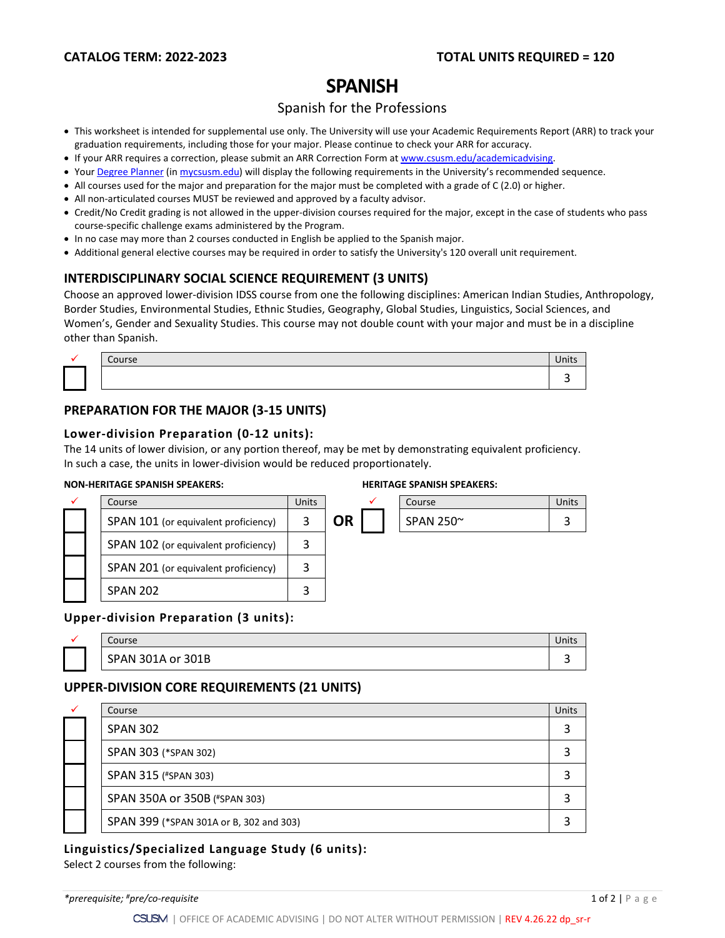# **SPANISH**

## Spanish for the Professions

- This worksheet is intended for supplemental use only. The University will use your Academic Requirements Report (ARR) to track your graduation requirements, including those for your major. Please continue to check your ARR for accuracy.
- If your ARR requires a correction, please submit an [ARR Correction Form](http://www.csusm.edu/academicadvising/arrcorrection/index.html) a[t www.csusm.edu/academicadvising.](http://www.csusm.edu/academicadvising)
- You[r Degree Planner](https://www.csusm.edu/academicadvising/degreeplanner/index.html) (i[n mycsusm.edu\)](https://my.csusm.edu/) will display the following requirements in the University's recommended sequence.
- All courses used for the major and preparation for the major must be completed with a grade of C (2.0) or higher.
- All non-articulated courses MUST be reviewed and approved by a faculty advisor.
- Credit/No Credit grading is not allowed in the upper-division courses required for the major, except in the case of students who pass course-specific challenge exams administered by the Program.
- In no case may more than 2 courses conducted in English be applied to the Spanish major.
- Additional general elective courses may be required in order to satisfy the University's 120 overall unit requirement.

### **INTERDISCIPLINARY SOCIAL SCIENCE REQUIREMENT (3 UNITS)**

Choose an approved lower-division IDSS course from one the following disciplines: American Indian Studies, Anthropology, Border Studies, Environmental Studies, Ethnic Studies, Geography, Global Studies, Linguistics, Social Sciences, and Women's, Gender and Sexuality Studies. This course may not double count with your major and must be in a discipline other than Spanish.

|  | . |  |
|--|---|--|
|  |   |  |

# **PREPARATION FOR THE MAJOR (3-15 UNITS)**

#### **Lower-division Preparation (0-12 units):**

The 14 units of lower division, or any portion thereof, may be met by demonstrating equivalent proficiency. In such a case, the units in lower-division would be reduced proportionately.

#### **NON-HERITAGE SPANISH SPEAKERS: HERITAGE SPANISH SPEAKERS:**

|  | <b>HERITAGE SPANISH SPEAKERS:</b> |
|--|-----------------------------------|

|  | Course                               | <b>Units</b> |    |  | Course          | Units |
|--|--------------------------------------|--------------|----|--|-----------------|-------|
|  | SPAN 101 (or equivalent proficiency) |              | ΟR |  | SPAN 250 $\sim$ | 2     |
|  | SPAN 102 (or equivalent proficiency) | 3            |    |  |                 |       |
|  | SPAN 201 (or equivalent proficiency) | 3            |    |  |                 |       |
|  | <b>SPAN 202</b>                      |              |    |  |                 |       |

#### **Upper-division Preparation (3 units):**

| Course            | Units |
|-------------------|-------|
| SPAN 301A or 301B | -     |

## **UPPER-DIVISION CORE REQUIREMENTS (21 UNITS)**

|  | Course                                  | Units |
|--|-----------------------------------------|-------|
|  | <b>SPAN 302</b>                         |       |
|  | SPAN 303 (*SPAN 302)                    |       |
|  | SPAN 315 (#SPAN 303)                    |       |
|  | SPAN 350A or 350B (#SPAN 303)           |       |
|  | SPAN 399 (*SPAN 301A or B, 302 and 303) |       |

#### **Linguistics/Specialized Language Study (6 units):**

Select 2 courses from the following: